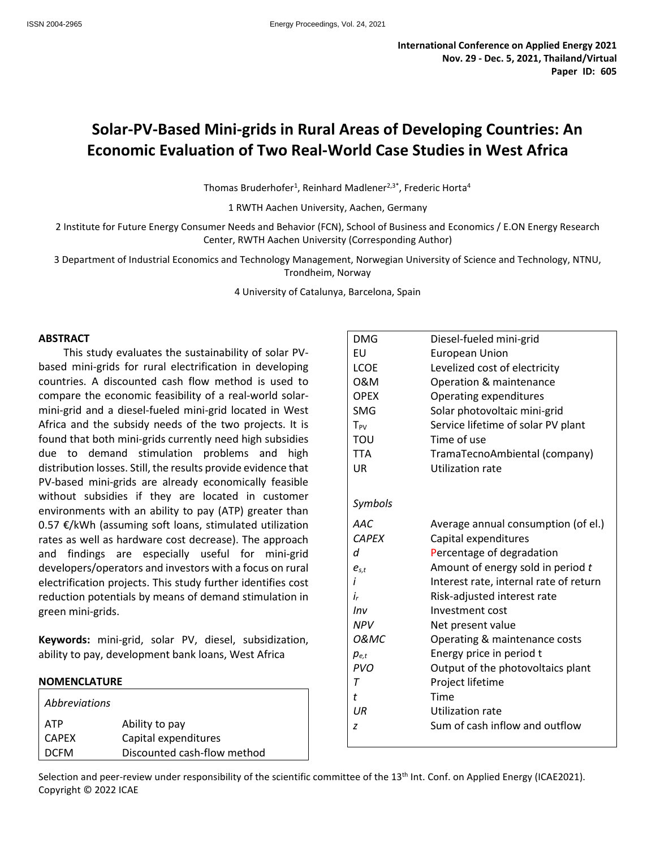# **Solar-PV-Based Mini-grids in Rural Areas of Developing Countries: An Economic Evaluation of Two Real-World Case Studies in West Africa**

Thomas Bruderhofer<sup>1</sup>, Reinhard Madlener<sup>2,3\*</sup>, Frederic Horta<sup>4</sup>

1 RWTH Aachen University, Aachen, Germany

2 Institute for Future Energy Consumer Needs and Behavior (FCN), School of Business and Economics / E.ON Energy Research Center, RWTH Aachen University (Corresponding Author)

3 Department of Industrial Economics and Technology Management, Norwegian University of Science and Technology, NTNU, Trondheim, Norway

4 University of Catalunya, Barcelona, Spain

#### **ABSTRACT**

This study evaluates the sustainability of solar PVbased mini-grids for rural electrification in developing countries. A discounted cash flow method is used to compare the economic feasibility of a real-world solarmini-grid and a diesel-fueled mini-grid located in West Africa and the subsidy needs of the two projects. It is found that both mini-grids currently need high subsidies due to demand stimulation problems and high distribution losses. Still, the results provide evidence that PV-based mini-grids are already economically feasible without subsidies if they are located in customer environments with an ability to pay (ATP) greater than 0.57 €/kWh (assuming soft loans, stimulated utilization rates as well as hardware cost decrease). The approach and findings are especially useful for mini-grid developers/operators and investors with a focus on rural electrification projects. This study further identifies cost reduction potentials by means of demand stimulation in green mini-grids.

**Keywords:** mini-grid, solar PV, diesel, subsidization, ability to pay, development bank loans, West Africa

#### **NOMENCLATURE**

| <i>Abbreviations</i> |                             |
|----------------------|-----------------------------|
| <b>ATP</b>           | Ability to pay              |
| <b>CAPEX</b>         | Capital expenditures        |
| <b>DCFM</b>          | Discounted cash-flow method |

| <b>DMG</b>      | Diesel-fueled mini-grid                |
|-----------------|----------------------------------------|
| <b>FU</b>       | <b>European Union</b>                  |
| LCOE            | Levelized cost of electricity          |
| 0&M             | Operation & maintenance                |
| <b>OPEX</b>     | Operating expenditures                 |
| <b>SMG</b>      | Solar photovoltaic mini-grid           |
| $T_{PV}$        | Service lifetime of solar PV plant     |
| TOU             | Time of use                            |
| <b>TTA</b>      | TramaTecnoAmbiental (company)          |
| UR              | <b>Utilization rate</b>                |
|                 |                                        |
| Symbols         |                                        |
|                 |                                        |
| AAC             | Average annual consumption (of el.)    |
| <b>CAPEX</b>    | Capital expenditures                   |
| d               | Percentage of degradation              |
| $e_{s,t}$       | Amount of energy sold in period t      |
| i               | Interest rate, internal rate of return |
| i,              | Risk-adjusted interest rate            |
| Inv             | Investment cost                        |
| <b>NPV</b>      | Net present value                      |
| <b>O&amp;MC</b> | Operating & maintenance costs          |
| $p_{e,t}$       | Energy price in period t               |
| <b>PVO</b>      | Output of the photovoltaics plant      |
| $\tau$          | Project lifetime                       |
| t               | Time                                   |
| IJR             | Utilization rate                       |
| z               | Sum of cash inflow and outflow         |
|                 |                                        |

Selection and peer-review under responsibility of the scientific committee of the 13<sup>th</sup> Int. Conf. on Applied Energy (ICAE2021). Copyright © 2022 ICAE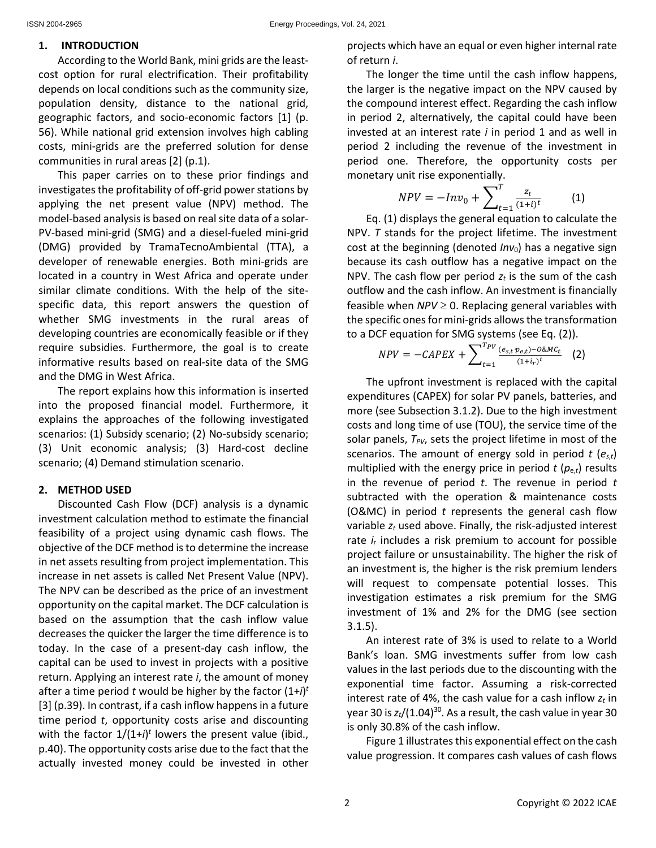# **1. INTRODUCTION**

According to the World Bank, mini grids are the leastcost option for rural electrification. Their profitability depends on local conditions such as the community size, population density, distance to the national grid, geographic factors, and socio-economic factors [1] (p. 56). While national grid extension involves high cabling costs, mini-grids are the preferred solution for dense communities in rural areas [2] (p.1).

This paper carries on to these prior findings and investigates the profitability of off-grid power stations by applying the net present value (NPV) method. The model-based analysis is based on real site data of a solar-PV-based mini-grid (SMG) and a diesel-fueled mini-grid (DMG) provided by TramaTecnoAmbiental (TTA), a developer of renewable energies. Both mini-grids are located in a country in West Africa and operate under similar climate conditions. With the help of the sitespecific data, this report answers the question of whether SMG investments in the rural areas of developing countries are economically feasible or if they require subsidies. Furthermore, the goal is to create informative results based on real-site data of the SMG and the DMG in West Africa.

The report explains how this information is inserted into the proposed financial model. Furthermore, it explains the approaches of the following investigated scenarios: (1) Subsidy scenario; (2) No-subsidy scenario; (3) Unit economic analysis; (3) Hard-cost decline scenario; (4) Demand stimulation scenario.

# **2. METHOD USED**

Discounted Cash Flow (DCF) analysis is a dynamic investment calculation method to estimate the financial feasibility of a project using dynamic cash flows. The objective of the DCF method is to determine the increase in net assets resulting from project implementation. This increase in net assets is called Net Present Value (NPV). The NPV can be described as the price of an investment opportunity on the capital market. The DCF calculation is based on the assumption that the cash inflow value decreases the quicker the larger the time difference is to today. In the case of a present-day cash inflow, the capital can be used to invest in projects with a positive return. Applying an interest rate *i*, the amount of money after a time period *t* would be higher by the factor (1+*i*) *t* [3] (p.39). In contrast, if a cash inflow happens in a future time period *t*, opportunity costs arise and discounting with the factor  $1/(1+i)^t$  lowers the present value (ibid., p.40). The opportunity costs arise due to the fact that the actually invested money could be invested in other

projects which have an equal or even higher internal rate of return *i*.

The longer the time until the cash inflow happens, the larger is the negative impact on the NPV caused by the compound interest effect. Regarding the cash inflow in period 2, alternatively, the capital could have been invested at an interest rate *i* in period 1 and as well in period 2 including the revenue of the investment in period one. Therefore, the opportunity costs per monetary unit rise exponentially.

$$
NPV = -Inv_0 + \sum_{t=1}^{T} \frac{z_t}{(1+i)^t}
$$
 (1)

 $\sum_{t=1}^{t-1}$  (1) displays the general equation to calculate the NPV. *T* stands for the project lifetime. The investment cost at the beginning (denoted *Inv*<sub>0</sub>) has a negative sign because its cash outflow has a negative impact on the NPV. The cash flow per period  $z_t$  is the sum of the cash outflow and the cash inflow. An investment is financially feasible when  $NPV \geq 0$ . Replacing general variables with the specific ones for mini-grids allows the transformation to a DCF equation for SMG systems (see Eq. (2)).

$$
NPV = -CAPEX + \sum_{t=1}^{T_{PV}} \frac{(e_{s,t}p_{e,t}) - 0 \& MC_t}{(1 + i_r)^t}
$$
 (2)

The upfront investment is replaced with the capital expenditures (CAPEX) for solar PV panels, batteries, and more (see Subsection 3.1.2). Due to the high investment costs and long time of use (TOU), the service time of the solar panels,  $T_{PV}$ , sets the project lifetime in most of the scenarios. The amount of energy sold in period *t* (*es*,*<sup>t</sup>*) multiplied with the energy price in period *t* (*p*e,*<sup>t</sup>*) results in the revenue of period *t*. The revenue in period *t* subtracted with the operation & maintenance costs (O&MC) in period *t* represents the general cash flow variable  $z_t$  used above. Finally, the risk-adjusted interest rate *i*<sup>r</sup> includes a risk premium to account for possible project failure or unsustainability. The higher the risk of an investment is, the higher is the risk premium lenders will request to compensate potential losses. This investigation estimates a risk premium for the SMG investment of 1% and 2% for the DMG (see section 3.1.5).

An interest rate of 3% is used to relate to a World Bank's loan. SMG investments suffer from low cash values in the last periods due to the discounting with the exponential time factor. Assuming a risk-corrected interest rate of 4%, the cash value for a cash inflow  $z_t$  in year 30 is  $z_t/(1.04)^{30}$ . As a result, the cash value in year 30 is only 30.8% of the cash inflow.

Figure 1 illustrates this exponential effect on the cash value progression. It compares cash values of cash flows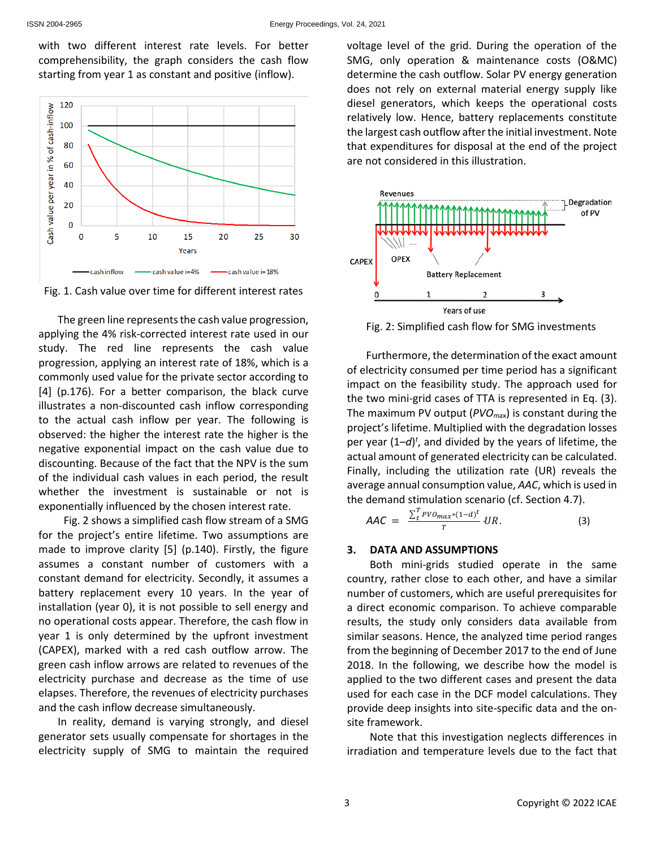with two different interest rate levels. For better comprehensibility, the graph considers the cash flow starting from year 1 as constant and positive (inflow).



Fig. 1. Cash value over time for different interest rates

The green line represents the cash value progression, applying the 4% risk-corrected interest rate used in our study. The red line represents the cash value progression, applying an interest rate of 18%, which is a commonly used value for the private sector according to [4] (p.176). For a better comparison, the black curve illustrates a non-discounted cash inflow corresponding to the actual cash inflow per year. The following is observed: the higher the interest rate the higher is the negative exponential impact on the cash value due to discounting. Because of the fact that the NPV is the sum of the individual cash values in each period, the result whether the investment is sustainable or not is exponentially influenced by the chosen interest rate.

Fig. 2 shows a simplified cash flow stream of a SMG for the project's entire lifetime. Two assumptions are made to improve clarity [5] (p.140). Firstly, the figure assumes a constant number of customers with a constant demand for electricity. Secondly, it assumes a battery replacement every 10 years. In the year of installation (year 0), it is not possible to sell energy and no operational costs appear. Therefore, the cash flow in year 1 is only determined by the upfront investment (CAPEX), marked with a red cash outflow arrow. The green cash inflow arrows are related to revenues of the electricity purchase and decrease as the time of use elapses. Therefore, the revenues of electricity purchases and the cash inflow decrease simultaneously.

In reality, demand is varying strongly, and diesel generator sets usually compensate for shortages in the electricity supply of SMG to maintain the required

voltage level of the grid. During the operation of the SMG, only operation & maintenance costs (O&MC) determine the cash outflow. Solar PV energy generation does not rely on external material energy supply like diesel generators, which keeps the operational costs relatively low. Hence, battery replacements constitute the largest cash outflow after the initial investment. Note that expenditures for disposal at the end of the project are not considered in this illustration.



Fig. 2: Simplified cash flow for SMG investments

Furthermore, the determination of the exact amount of electricity consumed per time period has a significant impact on the feasibility study. The approach used for the two mini-grid cases of TTA is represented in Eq. (3). The maximum PV output (*PVO*max) is constant during the project's lifetime. Multiplied with the degradation losses per year  $(1-d)^t$ , and divided by the years of lifetime, the actual amount of generated electricity can be calculated. Finally, including the utilization rate (UR) reveals the average annual consumption value, *AAC*, which is used in the demand stimulation scenario (cf. Section 4.7).

$$
AAC = \frac{\sum_{t}^{T}PVO_{max}*(1-d)^{t}}{T} \cdot UR.
$$
 (3)

### **3. DATA AND ASSUMPTIONS**

Both mini-grids studied operate in the same country, rather close to each other, and have a similar number of customers, which are useful prerequisites for a direct economic comparison. To achieve comparable results, the study only considers data available from similar seasons. Hence, the analyzed time period ranges from the beginning of December 2017 to the end of June 2018. In the following, we describe how the model is applied to the two different cases and present the data used for each case in the DCF model calculations. They provide deep insights into site-specific data and the onsite framework.

Note that this investigation neglects differences in irradiation and temperature levels due to the fact that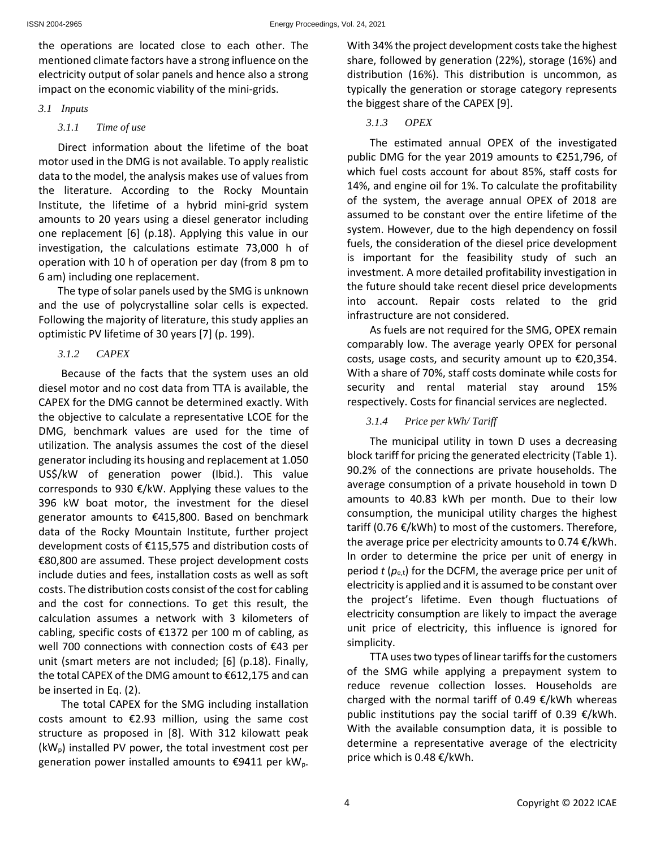the operations are located close to each other. The mentioned climate factors have a strong influence on the electricity output of solar panels and hence also a strong impact on the economic viability of the mini-grids.

### *3.1 Inputs*

### *3.1.1 Time of use*

Direct information about the lifetime of the boat motor used in the DMG is not available. To apply realistic data to the model, the analysis makes use of values from the literature. According to the Rocky Mountain Institute, the lifetime of a hybrid mini-grid system amounts to 20 years using a diesel generator including one replacement [6] (p.18). Applying this value in our investigation, the calculations estimate 73,000 h of operation with 10 h of operation per day (from 8 pm to 6 am) including one replacement.

The type of solar panels used by the SMG is unknown and the use of polycrystalline solar cells is expected. Following the majority of literature, this study applies an optimistic PV lifetime of 30 years [7] (p. 199).

# *3.1.2 CAPEX*

Because of the facts that the system uses an old diesel motor and no cost data from TTA is available, the CAPEX for the DMG cannot be determined exactly. With the objective to calculate a representative LCOE for the DMG, benchmark values are used for the time of utilization. The analysis assumes the cost of the diesel generator including its housing and replacement at 1.050 US\$/kW of generation power (Ibid.). This value corresponds to 930 €/kW. Applying these values to the 396 kW boat motor, the investment for the diesel generator amounts to €415,800. Based on benchmark data of the Rocky Mountain Institute, further project development costs of €115,575 and distribution costs of €80,800 are assumed. These project development costs include duties and fees, installation costs as well as soft costs. The distribution costs consist of the cost for cabling and the cost for connections. To get this result, the calculation assumes a network with 3 kilometers of cabling, specific costs of €1372 per 100 m of cabling, as well 700 connections with connection costs of €43 per unit (smart meters are not included; [6] (p.18). Finally, the total CAPEX of the DMG amount to €612,175 and can be inserted in Eq. (2).

The total CAPEX for the SMG including installation costs amount to  $E2.93$  million, using the same cost structure as proposed in [8]. With 312 kilowatt peak  $(kW_p)$  installed PV power, the total investment cost per generation power installed amounts to  $\epsilon$ 9411 per kW<sub>p</sub>. With 34% the project development costs take the highest share, followed by generation (22%), storage (16%) and distribution (16%). This distribution is uncommon, as typically the generation or storage category represents the biggest share of the CAPEX [9].

# *3.1.3 OPEX*

The estimated annual OPEX of the investigated public DMG for the year 2019 amounts to €251,796, of which fuel costs account for about 85%, staff costs for 14%, and engine oil for 1%. To calculate the profitability of the system, the average annual OPEX of 2018 are assumed to be constant over the entire lifetime of the system. However, due to the high dependency on fossil fuels, the consideration of the diesel price development is important for the feasibility study of such an investment. A more detailed profitability investigation in the future should take recent diesel price developments into account. Repair costs related to the grid infrastructure are not considered.

As fuels are not required for the SMG, OPEX remain comparably low. The average yearly OPEX for personal costs, usage costs, and security amount up to €20,354. With a share of 70%, staff costs dominate while costs for security and rental material stay around 15% respectively. Costs for financial services are neglected.

# *3.1.4 Price per kWh/ Tariff*

The municipal utility in town D uses a decreasing block tariff for pricing the generated electricity (Table 1). 90.2% of the connections are private households. The average consumption of a private household in town D amounts to 40.83 kWh per month. Due to their low consumption, the municipal utility charges the highest tariff (0.76 €/kWh) to most of the customers. Therefore, the average price per electricity amounts to 0.74  $\epsilon$ /kWh. In order to determine the price per unit of energy in period  $t$  ( $p_{e,t}$ ) for the DCFM, the average price per unit of electricity is applied and it is assumed to be constant over the project's lifetime. Even though fluctuations of electricity consumption are likely to impact the average unit price of electricity, this influence is ignored for simplicity.

TTA uses two types of linear tariffs for the customers of the SMG while applying a prepayment system to reduce revenue collection losses. Households are charged with the normal tariff of 0.49  $\epsilon$ /kWh whereas public institutions pay the social tariff of 0.39  $\epsilon$ /kWh. With the available consumption data, it is possible to determine a representative average of the electricity price which is 0.48 €/kWh.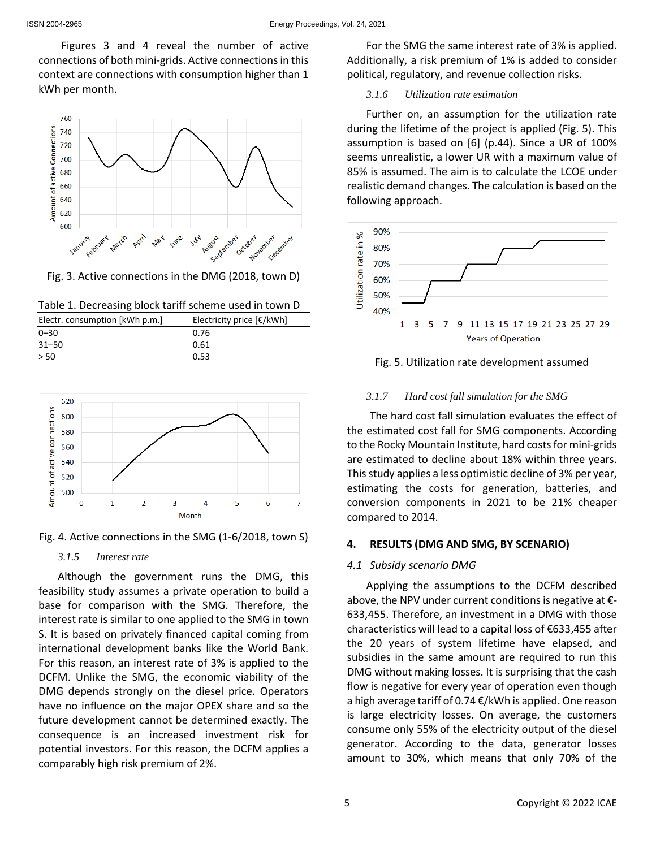Figures 3 and 4 reveal the number of active connections of both mini-grids. Active connections in this context are connections with consumption higher than 1 kWh per month.



Fig. 3. Active connections in the DMG (2018, town D)

| Table 1. Decreasing block tariff scheme used in town D |  |  |
|--------------------------------------------------------|--|--|
|--------------------------------------------------------|--|--|

| Electr. consumption [kWh p.m.] | Electricity price $\left[\frac{\epsilon}{kWh}\right]$ |
|--------------------------------|-------------------------------------------------------|
| $0 - 30$                       | 0.76                                                  |
| $31 - 50$                      | 0.61                                                  |
| > 50                           | 0.53                                                  |



Fig. 4. Active connections in the SMG (1-6/2018, town S)

# *3.1.5 Interest rate*

Although the government runs the DMG, this feasibility study assumes a private operation to build a base for comparison with the SMG. Therefore, the interest rate is similar to one applied to the SMG in town S. It is based on privately financed capital coming from international development banks like the World Bank. For this reason, an interest rate of 3% is applied to the DCFM. Unlike the SMG, the economic viability of the DMG depends strongly on the diesel price. Operators have no influence on the major OPEX share and so the future development cannot be determined exactly. The consequence is an increased investment risk for potential investors. For this reason, the DCFM applies a comparably high risk premium of 2%.

For the SMG the same interest rate of 3% is applied. Additionally, a risk premium of 1% is added to consider political, regulatory, and revenue collection risks.

# *3.1.6 Utilization rate estimation*

Further on, an assumption for the utilization rate during the lifetime of the project is applied (Fig. 5). This assumption is based on [6] (p.44). Since a UR of 100% seems unrealistic, a lower UR with a maximum value of 85% is assumed. The aim is to calculate the LCOE under realistic demand changes. The calculation is based on the following approach.



Fig. 5. Utilization rate development assumed

# *3.1.7 Hard cost fall simulation for the SMG*

The hard cost fall simulation evaluates the effect of the estimated cost fall for SMG components. According to the Rocky Mountain Institute, hard costs for mini-grids are estimated to decline about 18% within three years. This study applies a less optimistic decline of 3% per year, estimating the costs for generation, batteries, and conversion components in 2021 to be 21% cheaper compared to 2014.

# **4. RESULTS (DMG AND SMG, BY SCENARIO)**

# *4.1 Subsidy scenario DMG*

Applying the assumptions to the DCFM described above, the NPV under current conditions is negative at  $\epsilon$ -633,455. Therefore, an investment in a DMG with those characteristics will lead to a capital loss of €633,455 after the 20 years of system lifetime have elapsed, and subsidies in the same amount are required to run this DMG without making losses. It is surprising that the cash flow is negative for every year of operation even though a high average tariff of 0.74 €/kWh is applied. One reason is large electricity losses. On average, the customers consume only 55% of the electricity output of the diesel generator. According to the data, generator losses amount to 30%, which means that only 70% of the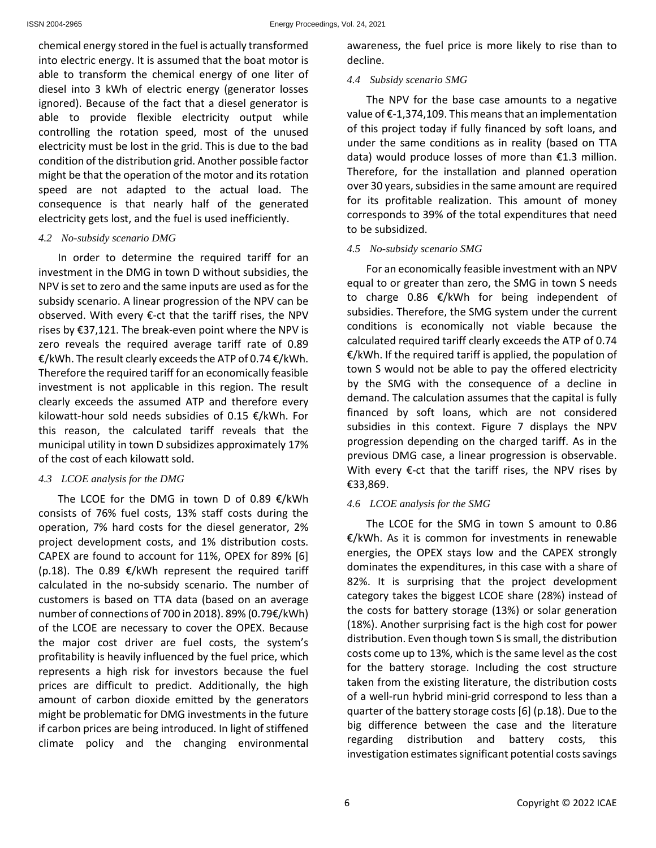chemical energy stored in the fuel is actually transformed into electric energy. It is assumed that the boat motor is able to transform the chemical energy of one liter of diesel into 3 kWh of electric energy (generator losses ignored). Because of the fact that a diesel generator is able to provide flexible electricity output while controlling the rotation speed, most of the unused electricity must be lost in the grid. This is due to the bad condition of the distribution grid. Another possible factor might be that the operation of the motor and its rotation speed are not adapted to the actual load. The consequence is that nearly half of the generated electricity gets lost, and the fuel is used inefficiently.

### *4.2 No-subsidy scenario DMG*

In order to determine the required tariff for an investment in the DMG in town D without subsidies, the NPV is set to zero and the same inputs are used as for the subsidy scenario. A linear progression of the NPV can be observed. With every €-ct that the tariff rises, the NPV rises by €37,121. The break-even point where the NPV is zero reveals the required average tariff rate of 0.89 €/kWh. The result clearly exceeds the ATP of 0.74 €/kWh. Therefore the required tariff for an economically feasible investment is not applicable in this region. The result clearly exceeds the assumed ATP and therefore every kilowatt-hour sold needs subsidies of 0.15 €/kWh. For this reason, the calculated tariff reveals that the municipal utility in town D subsidizes approximately 17% of the cost of each kilowatt sold.

# *4.3 LCOE analysis for the DMG*

The LCOE for the DMG in town D of 0.89  $\epsilon$ /kWh consists of 76% fuel costs, 13% staff costs during the operation, 7% hard costs for the diesel generator, 2% project development costs, and 1% distribution costs. CAPEX are found to account for 11%, OPEX for 89% [6] (p.18). The 0.89 €/kWh represent the required tariff calculated in the no-subsidy scenario. The number of customers is based on TTA data (based on an average number of connections of 700 in 2018). 89% (0.79€/kWh) of the LCOE are necessary to cover the OPEX. Because the major cost driver are fuel costs, the system's profitability is heavily influenced by the fuel price, which represents a high risk for investors because the fuel prices are difficult to predict. Additionally, the high amount of carbon dioxide emitted by the generators might be problematic for DMG investments in the future if carbon prices are being introduced. In light of stiffened climate policy and the changing environmental awareness, the fuel price is more likely to rise than to decline.

# *4.4 Subsidy scenario SMG*

The NPV for the base case amounts to a negative value of €-1,374,109. This means that an implementation of this project today if fully financed by soft loans, and under the same conditions as in reality (based on TTA data) would produce losses of more than €1.3 million. Therefore, for the installation and planned operation over 30 years, subsidies in the same amount are required for its profitable realization. This amount of money corresponds to 39% of the total expenditures that need to be subsidized.

### *4.5 No-subsidy scenario SMG*

For an economically feasible investment with an NPV equal to or greater than zero, the SMG in town S needs to charge 0.86 €/kWh for being independent of subsidies. Therefore, the SMG system under the current conditions is economically not viable because the calculated required tariff clearly exceeds the ATP of 0.74 €/kWh. If the required tariff is applied, the population of town S would not be able to pay the offered electricity by the SMG with the consequence of a decline in demand. The calculation assumes that the capital is fully financed by soft loans, which are not considered subsidies in this context. Figure 7 displays the NPV progression depending on the charged tariff. As in the previous DMG case, a linear progression is observable. With every €-ct that the tariff rises, the NPV rises by €33,869.

# *4.6 LCOE analysis for the SMG*

The LCOE for the SMG in town S amount to 0.86 €/kWh. As it is common for investments in renewable energies, the OPEX stays low and the CAPEX strongly dominates the expenditures, in this case with a share of 82%. It is surprising that the project development category takes the biggest LCOE share (28%) instead of the costs for battery storage (13%) or solar generation (18%). Another surprising fact is the high cost for power distribution. Even though town S is small, the distribution costs come up to 13%, which is the same level as the cost for the battery storage. Including the cost structure taken from the existing literature, the distribution costs of a well-run hybrid mini-grid correspond to less than a quarter of the battery storage costs [6] (p.18). Due to the big difference between the case and the literature regarding distribution and battery costs, this investigation estimates significant potential costs savings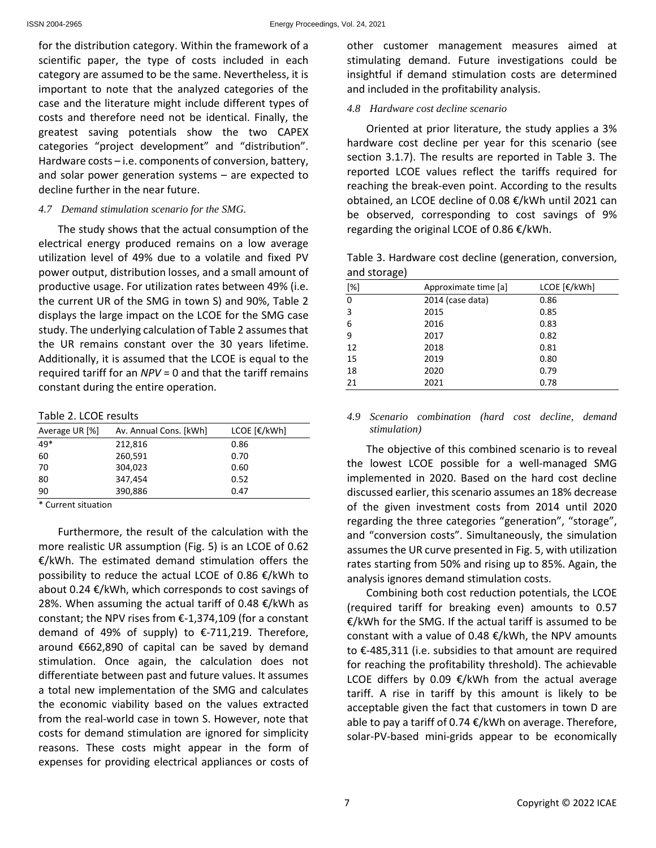for the distribution category. Within the framework of a scientific paper, the type of costs included in each category are assumed to be the same. Nevertheless, it is important to note that the analyzed categories of the case and the literature might include different types of costs and therefore need not be identical. Finally, the greatest saving potentials show the two CAPEX categories "project development" and "distribution". Hardware costs – i.e. components of conversion, battery, and solar power generation systems – are expected to decline further in the near future.

### *4.7 Demand stimulation scenario for the SMG.*

The study shows that the actual consumption of the electrical energy produced remains on a low average utilization level of 49% due to a volatile and fixed PV power output, distribution losses, and a small amount of productive usage. For utilization rates between 49% (i.e. the current UR of the SMG in town S) and 90%, Table 2 displays the large impact on the LCOE for the SMG case study. The underlying calculation of Table 2 assumes that the UR remains constant over the 30 years lifetime. Additionally, it is assumed that the LCOE is equal to the required tariff for an *NPV* = 0 and that the tariff remains constant during the entire operation.

Table 2. LCOE results

| Average UR [%]                                                      | Av. Annual Cons. [kWh] | LCOE [€/kWh] |
|---------------------------------------------------------------------|------------------------|--------------|
| $49*$                                                               | 212,816                | 0.86         |
| 60                                                                  | 260,591                | 0.70         |
| 70                                                                  | 304,023                | 0.60         |
| 80                                                                  | 347,454                | 0.52         |
| 90                                                                  | 390,886                | 0.47         |
| $\mathcal{R}$ . $\mathcal{L}$ . The set of the set of $\mathcal{L}$ |                        |              |

**Current situation** 

Furthermore, the result of the calculation with the more realistic UR assumption (Fig. 5) is an LCOE of 0.62 €/kWh. The estimated demand stimulation offers the possibility to reduce the actual LCOE of 0.86 €/kWh to about 0.24 €/kWh, which corresponds to cost savings of 28%. When assuming the actual tariff of 0.48  $€/kWh$  as constant; the NPV rises from €-1,374,109 (for a constant demand of 49% of supply) to  $\epsilon$ -711,219. Therefore, around €662,890 of capital can be saved by demand stimulation. Once again, the calculation does not differentiate between past and future values. It assumes a total new implementation of the SMG and calculates the economic viability based on the values extracted from the real-world case in town S. However, note that costs for demand stimulation are ignored for simplicity reasons. These costs might appear in the form of expenses for providing electrical appliances or costs of

other customer management measures aimed at stimulating demand. Future investigations could be insightful if demand stimulation costs are determined and included in the profitability analysis.

# *4.8 Hardware cost decline scenario*

Oriented at prior literature, the study applies a 3% hardware cost decline per year for this scenario (see section 3.1.7). The results are reported in Table 3. The reported LCOE values reflect the tariffs required for reaching the break-even point. According to the results obtained, an LCOE decline of 0.08 €/kWh until 2021 can be observed, corresponding to cost savings of 9% regarding the original LCOE of 0.86 €/kWh.

Table 3. Hardware cost decline (generation, conversion, and storage)

|                                                                                                                                                                                                                                         | ີ                    |              |
|-----------------------------------------------------------------------------------------------------------------------------------------------------------------------------------------------------------------------------------------|----------------------|--------------|
| $[%] % \begin{center} \includegraphics[width=0.3\textwidth]{images/TrDiM1-Architecture.png} \end{center} % \vspace*{-1em} \caption{The figure shows the number of parameters in the left and right.} \label{fig:TrDiM1-Architecture} %$ | Approximate time [a] | LCOE [€/kWh] |
| $\Omega$                                                                                                                                                                                                                                | 2014 (case data)     | 0.86         |
| 3                                                                                                                                                                                                                                       | 2015                 | 0.85         |
| 6                                                                                                                                                                                                                                       | 2016                 | 0.83         |
| 9                                                                                                                                                                                                                                       | 2017                 | 0.82         |
| 12                                                                                                                                                                                                                                      | 2018                 | 0.81         |
| 15                                                                                                                                                                                                                                      | 2019                 | 0.80         |
| 18                                                                                                                                                                                                                                      | 2020                 | 0.79         |
| 21                                                                                                                                                                                                                                      | 2021                 | 0.78         |
|                                                                                                                                                                                                                                         |                      |              |

### *4.9 Scenario combination (hard cost decline, demand stimulation)*

The objective of this combined scenario is to reveal the lowest LCOE possible for a well-managed SMG implemented in 2020. Based on the hard cost decline discussed earlier, this scenario assumes an 18% decrease of the given investment costs from 2014 until 2020 regarding the three categories "generation", "storage", and "conversion costs". Simultaneously, the simulation assumes the UR curve presented in Fig. 5, with utilization rates starting from 50% and rising up to 85%. Again, the analysis ignores demand stimulation costs.

Combining both cost reduction potentials, the LCOE (required tariff for breaking even) amounts to 0.57 €/kWh for the SMG. If the actual tariff is assumed to be constant with a value of 0.48 €/kWh, the NPV amounts to €-485,311 (i.e. subsidies to that amount are required for reaching the profitability threshold). The achievable LCOE differs by 0.09 €/kWh from the actual average tariff. A rise in tariff by this amount is likely to be acceptable given the fact that customers in town D are able to pay a tariff of 0.74 €/kWh on average. Therefore, solar-PV-based mini-grids appear to be economically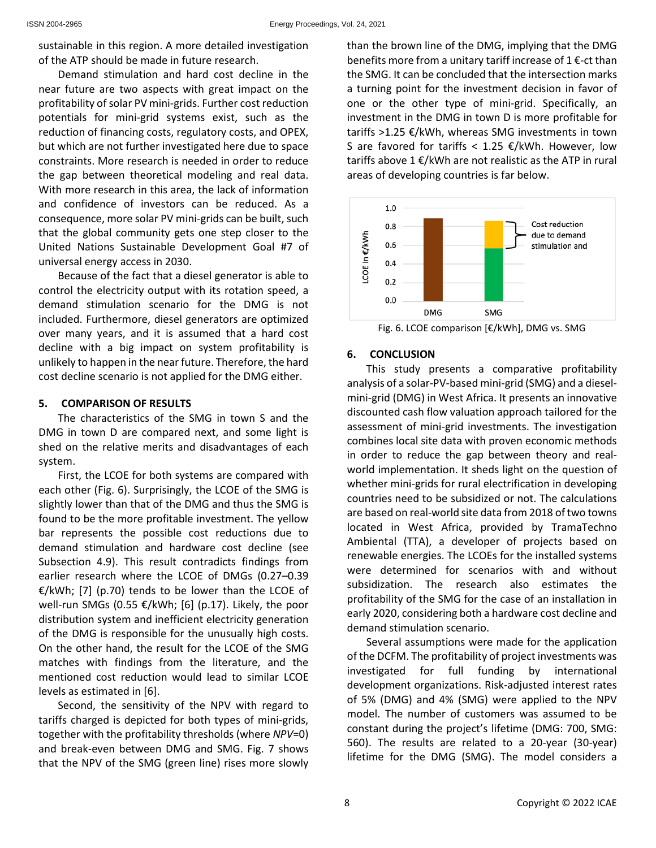sustainable in this region. A more detailed investigation of the ATP should be made in future research.

Demand stimulation and hard cost decline in the near future are two aspects with great impact on the profitability of solar PV mini-grids. Further cost reduction potentials for mini-grid systems exist, such as the reduction of financing costs, regulatory costs, and OPEX, but which are not further investigated here due to space constraints. More research is needed in order to reduce the gap between theoretical modeling and real data. With more research in this area, the lack of information and confidence of investors can be reduced. As a consequence, more solar PV mini-grids can be built, such that the global community gets one step closer to the United Nations Sustainable Development Goal #7 of universal energy access in 2030.

Because of the fact that a diesel generator is able to control the electricity output with its rotation speed, a demand stimulation scenario for the DMG is not included. Furthermore, diesel generators are optimized over many years, and it is assumed that a hard cost decline with a big impact on system profitability is unlikely to happen in the near future. Therefore, the hard cost decline scenario is not applied for the DMG either.

# **5. COMPARISON OF RESULTS**

The characteristics of the SMG in town S and the DMG in town D are compared next, and some light is shed on the relative merits and disadvantages of each system.

First, the LCOE for both systems are compared with each other (Fig. 6). Surprisingly, the LCOE of the SMG is slightly lower than that of the DMG and thus the SMG is found to be the more profitable investment. The yellow bar represents the possible cost reductions due to demand stimulation and hardware cost decline (see Subsection 4.9). This result contradicts findings from earlier research where the LCOE of DMGs (0.27–0.39  $E/kWh$ ; [7] (p.70) tends to be lower than the LCOE of well-run SMGs (0.55 €/kWh; [6] (p.17). Likely, the poor distribution system and inefficient electricity generation of the DMG is responsible for the unusually high costs. On the other hand, the result for the LCOE of the SMG matches with findings from the literature, and the mentioned cost reduction would lead to similar LCOE levels as estimated in [6].

Second, the sensitivity of the NPV with regard to tariffs charged is depicted for both types of mini-grids, together with the profitability thresholds (where *NPV*=0) and break-even between DMG and SMG. Fig. 7 shows that the NPV of the SMG (green line) rises more slowly than the brown line of the DMG, implying that the DMG benefits more from a unitary tariff increase of 1 $\epsilon$ -ct than the SMG. It can be concluded that the intersection marks a turning point for the investment decision in favor of one or the other type of mini-grid. Specifically, an investment in the DMG in town D is more profitable for tariffs >1.25 €/kWh, whereas SMG investments in town S are favored for tariffs <  $1.25$  €/kWh. However, low tariffs above 1 €/kWh are not realistic as the ATP in rural areas of developing countries is far below.



Fig. 6. LCOE comparison [€/kWh], DMG vs. SMG

# **6. CONCLUSION**

This study presents a comparative profitability analysis of a solar-PV-based mini-grid (SMG) and a dieselmini-grid (DMG) in West Africa. It presents an innovative discounted cash flow valuation approach tailored for the assessment of mini-grid investments. The investigation combines local site data with proven economic methods in order to reduce the gap between theory and realworld implementation. It sheds light on the question of whether mini-grids for rural electrification in developing countries need to be subsidized or not. The calculations are based on real-world site data from 2018 of two towns located in West Africa, provided by TramaTechno Ambiental (TTA), a developer of projects based on renewable energies. The LCOEs for the installed systems were determined for scenarios with and without subsidization. The research also estimates the profitability of the SMG for the case of an installation in early 2020, considering both a hardware cost decline and demand stimulation scenario.

Several assumptions were made for the application of the DCFM. The profitability of project investments was investigated for full funding by international development organizations. Risk-adjusted interest rates of 5% (DMG) and 4% (SMG) were applied to the NPV model. The number of customers was assumed to be constant during the project's lifetime (DMG: 700, SMG: 560). The results are related to a 20-year (30-year) lifetime for the DMG (SMG). The model considers a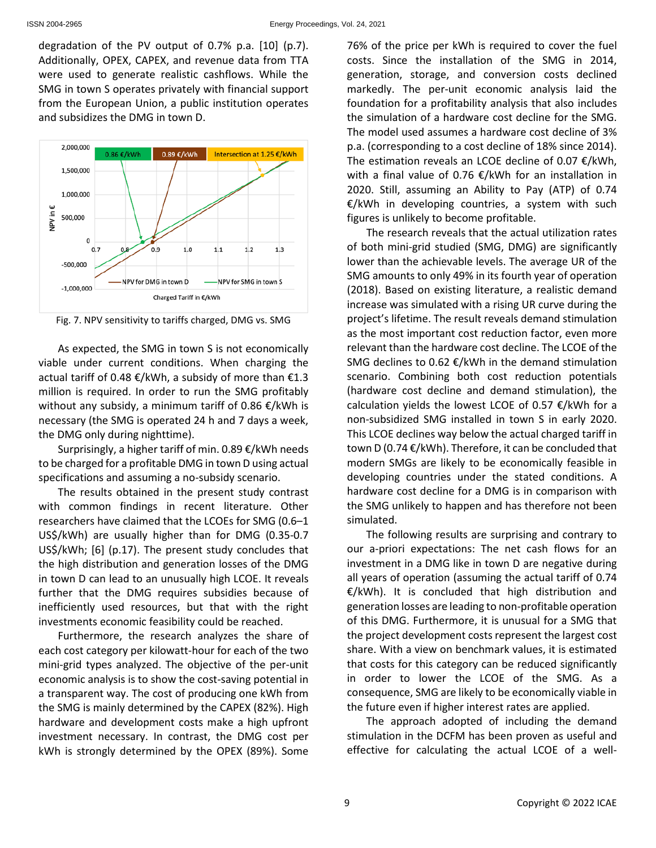degradation of the PV output of 0.7% p.a. [10] (p.7). Additionally, OPEX, CAPEX, and revenue data from TTA were used to generate realistic cashflows. While the SMG in town S operates privately with financial support from the European Union, a public institution operates and subsidizes the DMG in town D.



Fig. 7. NPV sensitivity to tariffs charged, DMG vs. SMG

As expected, the SMG in town S is not economically viable under current conditions. When charging the actual tariff of 0.48 €/kWh, a subsidy of more than €1.3 million is required. In order to run the SMG profitably without any subsidy, a minimum tariff of 0.86 €/kWh is necessary (the SMG is operated 24 h and 7 days a week, the DMG only during nighttime).

Surprisingly, a higher tariff of min. 0.89 €/kWh needs to be charged for a profitable DMG in town D using actual specifications and assuming a no-subsidy scenario.

The results obtained in the present study contrast with common findings in recent literature. Other researchers have claimed that the LCOEs for SMG (0.6–1 US\$/kWh) are usually higher than for DMG (0.35-0.7 US\$/kWh; [6] (p.17). The present study concludes that the high distribution and generation losses of the DMG in town D can lead to an unusually high LCOE. It reveals further that the DMG requires subsidies because of inefficiently used resources, but that with the right investments economic feasibility could be reached.

Furthermore, the research analyzes the share of each cost category per kilowatt-hour for each of the two mini-grid types analyzed. The objective of the per-unit economic analysis is to show the cost-saving potential in a transparent way. The cost of producing one kWh from the SMG is mainly determined by the CAPEX (82%). High hardware and development costs make a high upfront investment necessary. In contrast, the DMG cost per kWh is strongly determined by the OPEX (89%). Some

76% of the price per kWh is required to cover the fuel costs. Since the installation of the SMG in 2014, generation, storage, and conversion costs declined markedly. The per-unit economic analysis laid the foundation for a profitability analysis that also includes the simulation of a hardware cost decline for the SMG. The model used assumes a hardware cost decline of 3% p.a. (corresponding to a cost decline of 18% since 2014). The estimation reveals an LCOE decline of 0.07  $\epsilon$ /kWh, with a final value of 0.76 €/kWh for an installation in 2020. Still, assuming an Ability to Pay (ATP) of 0.74  $E/KWh$  in developing countries, a system with such figures is unlikely to become profitable.

The research reveals that the actual utilization rates of both mini-grid studied (SMG, DMG) are significantly lower than the achievable levels. The average UR of the SMG amounts to only 49% in its fourth year of operation (2018). Based on existing literature, a realistic demand increase was simulated with a rising UR curve during the project's lifetime. The result reveals demand stimulation as the most important cost reduction factor, even more relevant than the hardware cost decline. The LCOE of the SMG declines to 0.62 €/kWh in the demand stimulation scenario. Combining both cost reduction potentials (hardware cost decline and demand stimulation), the calculation yields the lowest LCOE of 0.57  $E/KWh$  for a non-subsidized SMG installed in town S in early 2020. This LCOE declines way below the actual charged tariff in town D (0.74 €/kWh). Therefore, it can be concluded that modern SMGs are likely to be economically feasible in developing countries under the stated conditions. A hardware cost decline for a DMG is in comparison with the SMG unlikely to happen and has therefore not been simulated.

The following results are surprising and contrary to our a-priori expectations: The net cash flows for an investment in a DMG like in town D are negative during all years of operation (assuming the actual tariff of 0.74 €/kWh). It is concluded that high distribution and generation losses are leading to non-profitable operation of this DMG. Furthermore, it is unusual for a SMG that the project development costs represent the largest cost share. With a view on benchmark values, it is estimated that costs for this category can be reduced significantly in order to lower the LCOE of the SMG. As a consequence, SMG are likely to be economically viable in the future even if higher interest rates are applied.

The approach adopted of including the demand stimulation in the DCFM has been proven as useful and effective for calculating the actual LCOE of a well